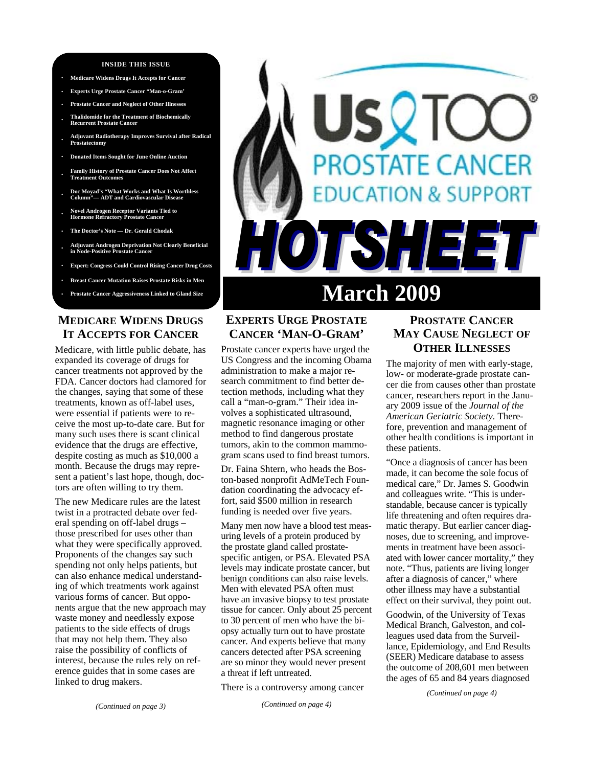#### **INSIDE THIS ISSUE**

- **· Medicare Widens Drugs It Accepts for Cancer**
- **· Experts Urge Prostate Cancer "Man-o-Gram'**
- **· Prostate Cancer and Neglect of Other Illnesses**
- **· Thalidomide for the Treatment of Biochemically Recurrent Prostate Cancer**
- **· Adjuvant Radiotherapy Improves Survival after Radical Prostatectomy**
- **· Donated Items Sought for June Online Auction**
- **· Family History of Prostate Cancer Does Not Affect Treatment Outcomes**
- **· Doc Moyad's "What Works and What Is Worthless Column"— ADT and Cardiovascular Disease**
- **· Novel Androgen Receptor Variants Tied to Hormone Refractory Prostate Cancer**
- **· The Doctor's Note Dr. Gerald Chodak**
- **· Adjuvant Androgen Deprivation Not Clearly Beneficial in Node-Positive Prostate Cancer**
- **· Expert: Congress Could Control Rising Cancer Drug Costs**
- **· Breast Cancer Mutation Raises Prostate Risks in Men**
- 

# **MEDICARE WIDENS DRUGS IT ACCEPTS FOR CANCER**

Medicare, with little public debate, has expanded its coverage of drugs for cancer treatments not approved by the FDA. Cancer doctors had clamored for the changes, saying that some of these treatments, known as off-label uses, were essential if patients were to receive the most up-to-date care. But for many such uses there is scant clinical evidence that the drugs are effective, despite costing as much as \$10,000 a month. Because the drugs may represent a patient's last hope, though, doctors are often willing to try them.

The new Medicare rules are the latest twist in a protracted debate over federal spending on off-label drugs – those prescribed for uses other than what they were specifically approved. Proponents of the changes say such spending not only helps patients, but can also enhance medical understanding of which treatments work against various forms of cancer. But opponents argue that the new approach may waste money and needlessly expose patients to the side effects of drugs that may not help them. They also raise the possibility of conflicts of interest, because the rules rely on reference guides that in some cases are linked to drug makers.

# **ROSTATE CANCER ION & SUPPORT ISHEE**

# Prostate Cancer Aggressiveness Linked to Gland Size **March 2009**

# **EXPERTS URGE PROSTATE CANCER 'MAN-O-GRAM'**

Prostate cancer experts have urged the US Congress and the incoming Obama administration to make a major research commitment to find better detection methods, including what they call a "man-o-gram." Their idea involves a sophisticated ultrasound, magnetic resonance imaging or other method to find dangerous prostate tumors, akin to the common mammogram scans used to find breast tumors.

Dr. Faina Shtern, who heads the Boston-based nonprofit AdMeTech Foundation coordinating the advocacy effort, said \$500 million in research funding is needed over five years.

Many men now have a blood test measuring levels of a protein produced by the prostate gland called prostatespecific antigen, or PSA. Elevated PSA levels may indicate prostate cancer, but benign conditions can also raise levels. Men with elevated PSA often must have an invasive biopsy to test prostate tissue for cancer. Only about 25 percent to 30 percent of men who have the biopsy actually turn out to have prostate cancer. And experts believe that many cancers detected after PSA screening are so minor they would never present a threat if left untreated.

There is a controversy among cancer

# **PROSTATE CANCER MAY CAUSE NEGLECT OF OTHER ILLNESSES**

The majority of men with early-stage, low- or moderate-grade prostate cancer die from causes other than prostate cancer, researchers report in the January 2009 issue of the *Journal of the American Geriatric Society*. Therefore, prevention and management of other health conditions is important in these patients.

"Once a diagnosis of cancer has been made, it can become the sole focus of medical care," Dr. James S. Goodwin and colleagues write. "This is understandable, because cancer is typically life threatening and often requires dramatic therapy. But earlier cancer diagnoses, due to screening, and improvements in treatment have been associated with lower cancer mortality," they note. "Thus, patients are living longer after a diagnosis of cancer," where other illness may have a substantial effect on their survival, they point out.

Goodwin, of the University of Texas Medical Branch, Galveston, and colleagues used data from the Surveillance, Epidemiology, and End Results (SEER) Medicare database to assess the outcome of 208,601 men between the ages of 65 and 84 years diagnosed

*(Continued on page 4)* 

*(Continued on page 4)*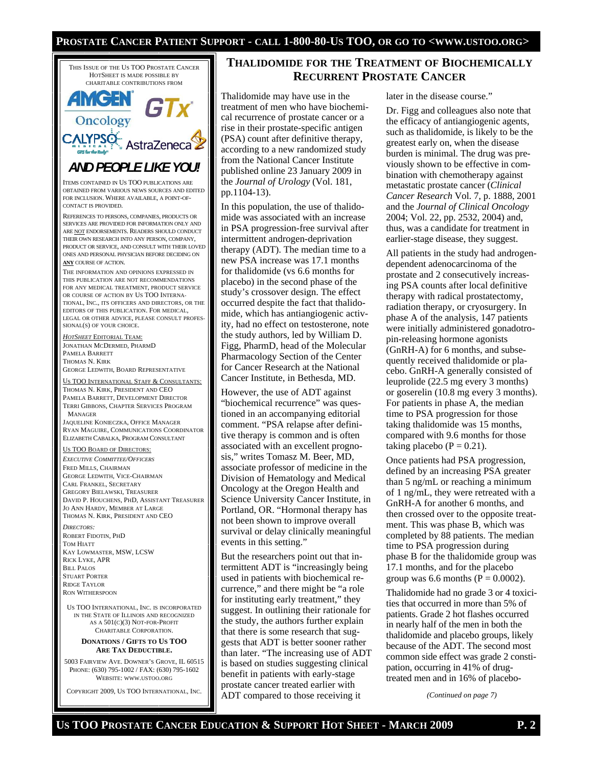#### **PROSTATE CANCER PATIENT SUPPORT - CALL 1-800-80-US TOO, OR GO TO <WWW.USTOO.ORG>**



5003 FAIRVIEW AVE. DOWNER'S GROVE, IL 60515 PHONE: (630) 795-1002 / FAX: (630) 795-1602 WEBSITE: WWW.USTOO.ORG

COPYRIGHT 2009, US TOO INTERNATIONAL, INC.

# **THALIDOMIDE FOR THE TREATMENT OF BIOCHEMICALLY RECURRENT PROSTATE CANCER**

Thalidomide may have use in the treatment of men who have biochemical recurrence of prostate cancer or a rise in their prostate-specific antigen (PSA) count after definitive therapy, according to a new randomized study from the National Cancer Institute published online 23 January 2009 in the *Journal of Urology* (Vol. 181, pp.1104-13).

In this population, the use of thalidomide was associated with an increase in PSA progression-free survival after intermittent androgen-deprivation therapy (ADT). The median time to a new PSA increase was 17.1 months for thalidomide (vs 6.6 months for placebo) in the second phase of the study's crossover design. The effect occurred despite the fact that thalidomide, which has antiangiogenic activity, had no effect on testosterone, note the study authors, led by William D. Figg, PharmD, head of the Molecular Pharmacology Section of the Center for Cancer Research at the National Cancer Institute, in Bethesda, MD.

However, the use of ADT against "biochemical recurrence" was questioned in an accompanying editorial comment. "PSA relapse after definitive therapy is common and is often associated with an excellent prognosis," writes Tomasz M. Beer, MD, associate professor of medicine in the Division of Hematology and Medical Oncology at the Oregon Health and Science University Cancer Institute, in Portland, OR. "Hormonal therapy has not been shown to improve overall survival or delay clinically meaningful events in this setting."

But the researchers point out that intermittent ADT is "increasingly being used in patients with biochemical recurrence," and there might be "a role for instituting early treatment," they suggest. In outlining their rationale for the study, the authors further explain that there is some research that suggests that ADT is better sooner rather than later. "The increasing use of ADT is based on studies suggesting clinical benefit in patients with early-stage prostate cancer treated earlier with ADT compared to those receiving it

later in the disease course."

Dr. Figg and colleagues also note that the efficacy of antiangiogenic agents, such as thalidomide, is likely to be the greatest early on, when the disease burden is minimal. The drug was previously shown to be effective in combination with chemotherapy against metastatic prostate cancer (*Clinical Cancer Research* Vol. 7, p. 1888, 2001 and the *Journal of Clinical Oncology* 2004; Vol. 22, pp. 2532, 2004) and, thus, was a candidate for treatment in earlier-stage disease, they suggest.

All patients in the study had androgendependent adenocarcinoma of the prostate and 2 consecutively increasing PSA counts after local definitive therapy with radical prostatectomy, radiation therapy, or cryosurgery. In phase A of the analysis, 147 patients were initially administered gonadotropin-releasing hormone agonists (GnRH-A) for 6 months, and subsequently received thalidomide or placebo. GnRH-A generally consisted of leuprolide (22.5 mg every 3 months) or goserelin (10.8 mg every 3 months). For patients in phase A, the median time to PSA progression for those taking thalidomide was 15 months, compared with 9.6 months for those taking placebo ( $P = 0.21$ ).

Once patients had PSA progression, defined by an increasing PSA greater than 5 ng/mL or reaching a minimum of 1 ng/mL, they were retreated with a GnRH-A for another 6 months, and then crossed over to the opposite treatment. This was phase B, which was completed by 88 patients. The median time to PSA progression during phase B for the thalidomide group was 17.1 months, and for the placebo group was 6.6 months ( $P = 0.0002$ ).

Thalidomide had no grade 3 or 4 toxicities that occurred in more than 5% of patients. Grade 2 hot flashes occurred in nearly half of the men in both the thalidomide and placebo groups, likely because of the ADT. The second most common side effect was grade 2 constipation, occurring in 41% of drugtreated men and in 16% of placebo-

*(Continued on page 7)*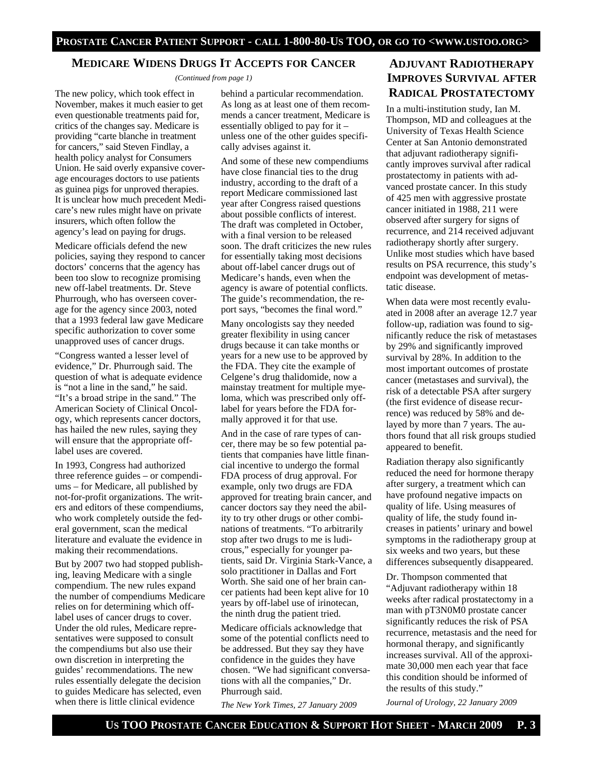#### **MEDICARE WIDENS DRUGS IT ACCEPTS FOR CANCER**

*(Continued from page 1)* 

The new policy, which took effect in November, makes it much easier to get even questionable treatments paid for, critics of the changes say. Medicare is providing "carte blanche in treatment for cancers," said Steven Findlay, a health policy analyst for Consumers Union. He said overly expansive coverage encourages doctors to use patients as guinea pigs for unproved therapies. It is unclear how much precedent Medicare's new rules might have on private insurers, which often follow the agency's lead on paying for drugs.

Medicare officials defend the new policies, saying they respond to cancer doctors' concerns that the agency has been too slow to recognize promising new off-label treatments. Dr. Steve Phurrough, who has overseen coverage for the agency since 2003, noted that a 1993 federal law gave Medicare specific authorization to cover some unapproved uses of cancer drugs.

"Congress wanted a lesser level of evidence," Dr. Phurrough said. The question of what is adequate evidence is "not a line in the sand," he said. "It's a broad stripe in the sand." The American Society of Clinical Oncology, which represents cancer doctors, has hailed the new rules, saying they will ensure that the appropriate offlabel uses are covered.

In 1993, Congress had authorized three reference guides – or compendiums – for Medicare, all published by not-for-profit organizations. The writers and editors of these compendiums, who work completely outside the federal government, scan the medical literature and evaluate the evidence in making their recommendations.

But by 2007 two had stopped publishing, leaving Medicare with a single compendium. The new rules expand the number of compendiums Medicare relies on for determining which offlabel uses of cancer drugs to cover. Under the old rules, Medicare representatives were supposed to consult the compendiums but also use their own discretion in interpreting the guides' recommendations. The new rules essentially delegate the decision to guides Medicare has selected, even when there is little clinical evidence

behind a particular recommendation. As long as at least one of them recommends a cancer treatment, Medicare is essentially obliged to pay for it – unless one of the other guides specifically advises against it.

And some of these new compendiums have close financial ties to the drug industry, according to the draft of a report Medicare commissioned last year after Congress raised questions about possible conflicts of interest. The draft was completed in October, with a final version to be released soon. The draft criticizes the new rules for essentially taking most decisions about off-label cancer drugs out of Medicare's hands, even when the agency is aware of potential conflicts. The guide's recommendation, the report says, "becomes the final word."

Many oncologists say they needed greater flexibility in using cancer drugs because it can take months or years for a new use to be approved by the FDA. They cite the example of Celgene's drug thalidomide, now a mainstay treatment for multiple myeloma, which was prescribed only offlabel for years before the FDA formally approved it for that use.

And in the case of rare types of cancer, there may be so few potential patients that companies have little financial incentive to undergo the formal FDA process of drug approval. For example, only two drugs are FDA approved for treating brain cancer, and cancer doctors say they need the ability to try other drugs or other combinations of treatments. "To arbitrarily stop after two drugs to me is ludicrous," especially for younger patients, said Dr. Virginia Stark-Vance, a solo practitioner in Dallas and Fort Worth. She said one of her brain cancer patients had been kept alive for 10 years by off-label use of irinotecan, the ninth drug the patient tried.

Medicare officials acknowledge that some of the potential conflicts need to be addressed. But they say they have confidence in the guides they have chosen. "We had significant conversations with all the companies," Dr. Phurrough said.

*The New York Times, 27 January 2009* 

# **ADJUVANT RADIOTHERAPY IMPROVES SURVIVAL AFTER RADICAL PROSTATECTOMY**

In a multi-institution study, Ian M. Thompson, MD and colleagues at the University of Texas Health Science Center at San Antonio demonstrated that adjuvant radiotherapy significantly improves survival after radical prostatectomy in patients with advanced prostate cancer. In this study of 425 men with aggressive prostate cancer initiated in 1988, 211 were observed after surgery for signs of recurrence, and 214 received adjuvant radiotherapy shortly after surgery. Unlike most studies which have based results on PSA recurrence, this study's endpoint was development of metastatic disease.

When data were most recently evaluated in 2008 after an average 12.7 year follow-up, radiation was found to significantly reduce the risk of metastases by 29% and significantly improved survival by 28%. In addition to the most important outcomes of prostate cancer (metastases and survival), the risk of a detectable PSA after surgery (the first evidence of disease recurrence) was reduced by 58% and delayed by more than 7 years. The authors found that all risk groups studied appeared to benefit.

Radiation therapy also significantly reduced the need for hormone therapy after surgery, a treatment which can have profound negative impacts on quality of life. Using measures of quality of life, the study found increases in patients' urinary and bowel symptoms in the radiotherapy group at six weeks and two years, but these differences subsequently disappeared.

Dr. Thompson commented that "Adjuvant radiotherapy within 18 weeks after radical prostatectomy in a man with pT3N0M0 prostate cancer significantly reduces the risk of PSA recurrence, metastasis and the need for hormonal therapy, and significantly increases survival. All of the approximate 30,000 men each year that face this condition should be informed of the results of this study."

*Journal of Urology, 22 January 2009*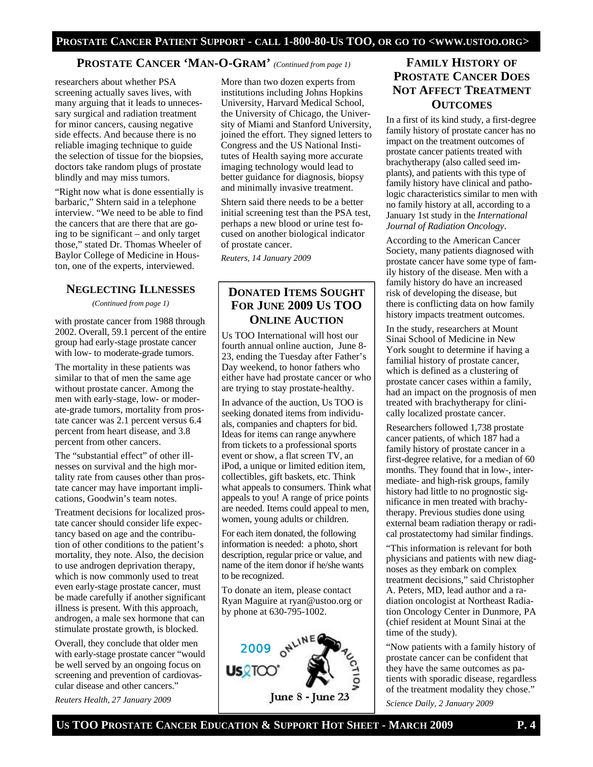#### **PROSTATE CANCER 'MAN-O-GRAM'** *(Continued from page 1)*

researchers about whether PSA screening actually saves lives, with many arguing that it leads to unnecessary surgical and radiation treatment for minor cancers, causing negative side effects. And because there is no reliable imaging technique to guide the selection of tissue for the biopsies, doctors take random plugs of prostate blindly and may miss tumors.

"Right now what is done essentially is barbaric," Shtern said in a telephone interview. "We need to be able to find the cancers that are there that are going to be significant – and only target those," stated Dr. Thomas Wheeler of Baylor College of Medicine in Houston, one of the experts, interviewed.

#### **NEGLECTING ILLNESSES**

*(Continued from page 1)* 

with prostate cancer from 1988 through 2002. Overall, 59.1 percent of the entire group had early-stage prostate cancer with low- to moderate-grade tumors.

The mortality in these patients was similar to that of men the same age without prostate cancer. Among the men with early-stage, low- or moderate-grade tumors, mortality from prostate cancer was 2.1 percent versus 6.4 percent from heart disease, and 3.8 percent from other cancers.

The "substantial effect" of other illnesses on survival and the high mortality rate from causes other than prostate cancer may have important implications, Goodwin's team notes.

Treatment decisions for localized prostate cancer should consider life expectancy based on age and the contribution of other conditions to the patient's mortality, they note. Also, the decision to use androgen deprivation therapy, which is now commonly used to treat even early-stage prostate cancer, must be made carefully if another significant illness is present. With this approach, androgen, a male sex hormone that can stimulate prostate growth, is blocked.

Overall, they conclude that older men with early-stage prostate cancer "would be well served by an ongoing focus on screening and prevention of cardiovascular disease and other cancers."

*Reuters Health, 27 January 2009* 

More than two dozen experts from institutions including Johns Hopkins University, Harvard Medical School, the University of Chicago, the University of Miami and Stanford University, joined the effort. They signed letters to Congress and the US National Institutes of Health saying more accurate imaging technology would lead to better guidance for diagnosis, biopsy and minimally invasive treatment.

Shtern said there needs to be a better initial screening test than the PSA test, perhaps a new blood or urine test focused on another biological indicator of prostate cancer.

*Reuters, 14 January 2009* 

## **DONATED ITEMS SOUGHT FOR JUNE 2009 US TOO ONLINE AUCTION**

Us TOO International will host our fourth annual online auction, June 8- 23, ending the Tuesday after Father's Day weekend, to honor fathers who either have had prostate cancer or who are trying to stay prostate-healthy.

In advance of the auction, Us TOO is seeking donated items from individuals, companies and chapters for bid. Ideas for items can range anywhere from tickets to a professional sports event or show, a flat screen TV, an iPod, a unique or limited edition item, collectibles, gift baskets, etc. Think what appeals to consumers. Think what appeals to you! A range of price points are needed. Items could appeal to men, women, young adults or children.

For each item donated, the following information is needed: a photo, short description, regular price or value, and name of the item donor if he/she wants to be recognized.

To donate an item, please contact Ryan Maguire at ryan@ustoo.org or by phone at 630-795-1002.



# **FAMILY HISTORY OF PROSTATE CANCER DOES NOT AFFECT TREATMENT OUTCOMES**

In a first of its kind study, a first-degree family history of prostate cancer has no impact on the treatment outcomes of prostate cancer patients treated with brachytherapy (also called seed implants), and patients with this type of family history have clinical and pathologic characteristics similar to men with no family history at all, according to a January 1st study in the *International Journal of Radiation Oncology*.

According to the American Cancer Society, many patients diagnosed with prostate cancer have some type of family history of the disease. Men with a family history do have an increased risk of developing the disease, but there is conflicting data on how family history impacts treatment outcomes.

In the study, researchers at Mount Sinai School of Medicine in New York sought to determine if having a familial history of prostate cancer, which is defined as a clustering of prostate cancer cases within a family, had an impact on the prognosis of men treated with brachytherapy for clinically localized prostate cancer.

Researchers followed 1,738 prostate cancer patients, of which 187 had a family history of prostate cancer in a first-degree relative, for a median of 60 months. They found that in low-, intermediate- and high-risk groups, family history had little to no prognostic significance in men treated with brachytherapy. Previous studies done using external beam radiation therapy or radical prostatectomy had similar findings.

"This information is relevant for both physicians and patients with new diagnoses as they embark on complex treatment decisions," said Christopher A. Peters, MD, lead author and a radiation oncologist at Northeast Radiation Oncology Center in Dunmore, PA (chief resident at Mount Sinai at the time of the study).

"Now patients with a family history of prostate cancer can be confident that they have the same outcomes as patients with sporadic disease, regardless of the treatment modality they chose." *Science Daily, 2 January 2009* 

US TOO PROSTATE CANCER EDUCATION & SUPPORT HOT SHEET - MARCH 2009 P.4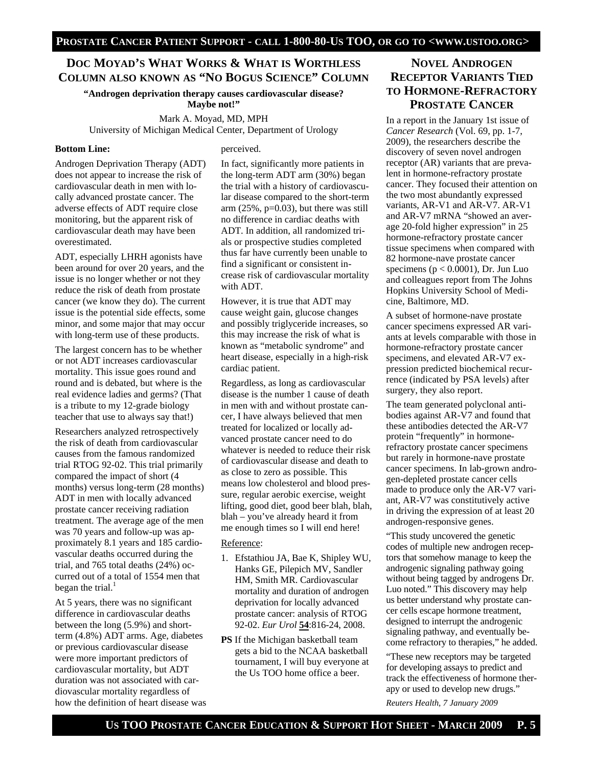# **DOC MOYAD'S WHAT WORKS & WHAT IS WORTHLESS COLUMN ALSO KNOWN AS "NO BOGUS SCIENCE" COLUMN**

**"Androgen deprivation therapy causes cardiovascular disease? Maybe not!"** 

Mark A. Moyad, MD, MPH University of Michigan Medical Center, Department of Urology

#### **Bottom Line:**

#### perceived.

Androgen Deprivation Therapy (ADT) does not appear to increase the risk of cardiovascular death in men with locally advanced prostate cancer. The adverse effects of ADT require close monitoring, but the apparent risk of cardiovascular death may have been overestimated.

ADT, especially LHRH agonists have been around for over 20 years, and the issue is no longer whether or not they reduce the risk of death from prostate cancer (we know they do). The current issue is the potential side effects, some minor, and some major that may occur with long-term use of these products.

The largest concern has to be whether or not ADT increases cardiovascular mortality. This issue goes round and round and is debated, but where is the real evidence ladies and germs? (That is a tribute to my 12-grade biology teacher that use to always say that!)

Researchers analyzed retrospectively the risk of death from cardiovascular causes from the famous randomized trial RTOG 92-02. This trial primarily compared the impact of short (4 months) versus long-term (28 months) ADT in men with locally advanced prostate cancer receiving radiation treatment. The average age of the men was 70 years and follow-up was approximately 8.1 years and 185 cardiovascular deaths occurred during the trial, and 765 total deaths (24%) occurred out of a total of 1554 men that began the trial. $<sup>1</sup>$ </sup>

At 5 years, there was no significant difference in cardiovascular deaths between the long (5.9%) and shortterm (4.8%) ADT arms. Age, diabetes or previous cardiovascular disease were more important predictors of cardiovascular mortality, but ADT duration was not associated with cardiovascular mortality regardless of how the definition of heart disease was In fact, significantly more patients in the long-term ADT arm (30%) began the trial with a history of cardiovascular disease compared to the short-term arm  $(25\%, p=0.03)$ , but there was still no difference in cardiac deaths with ADT. In addition, all randomized trials or prospective studies completed thus far have currently been unable to find a significant or consistent increase risk of cardiovascular mortality with ADT.

However, it is true that ADT may cause weight gain, glucose changes and possibly triglyceride increases, so this may increase the risk of what is known as "metabolic syndrome" and heart disease, especially in a high-risk cardiac patient.

Regardless, as long as cardiovascular disease is the number 1 cause of death in men with and without prostate cancer, I have always believed that men treated for localized or locally advanced prostate cancer need to do whatever is needed to reduce their risk of cardiovascular disease and death to as close to zero as possible. This means low cholesterol and blood pressure, regular aerobic exercise, weight lifting, good diet, good beer blah, blah, blah – you've already heard it from me enough times so I will end here!

#### Reference:

- 1. Efstathiou JA, Bae K, Shipley WU, Hanks GE, Pilepich MV, Sandler HM, Smith MR. Cardiovascular mortality and duration of androgen deprivation for locally advanced prostate cancer: analysis of RTOG 92-02. *Eur Urol* **54**:816-24, 2008.
- **PS** If the Michigan basketball team gets a bid to the NCAA basketball tournament, I will buy everyone at the Us TOO home office a beer.

# **NOVEL ANDROGEN RECEPTOR VARIANTS TIED TO HORMONE-REFRACTORY PROSTATE CANCER**

In a report in the January 1st issue of *Cancer Research* (Vol. 69, pp. 1-7, 2009), the researchers describe the discovery of seven novel androgen receptor (AR) variants that are prevalent in hormone-refractory prostate cancer. They focused their attention on the two most abundantly expressed variants, AR-V1 and AR-V7. AR-V1 and AR-V7 mRNA "showed an average 20-fold higher expression" in 25 hormone-refractory prostate cancer tissue specimens when compared with 82 hormone-nave prostate cancer specimens ( $p < 0.0001$ ), Dr. Jun Luo and colleagues report from The Johns Hopkins University School of Medicine, Baltimore, MD.

A subset of hormone-nave prostate cancer specimens expressed AR variants at levels comparable with those in hormone-refractory prostate cancer specimens, and elevated AR-V7 expression predicted biochemical recurrence (indicated by PSA levels) after surgery, they also report.

The team generated polyclonal antibodies against AR-V7 and found that these antibodies detected the AR-V7 protein "frequently" in hormonerefractory prostate cancer specimens but rarely in hormone-nave prostate cancer specimens. In lab-grown androgen-depleted prostate cancer cells made to produce only the AR-V7 variant, AR-V7 was constitutively active in driving the expression of at least 20 androgen-responsive genes.

"This study uncovered the genetic codes of multiple new androgen receptors that somehow manage to keep the androgenic signaling pathway going without being tagged by androgens Dr. Luo noted." This discovery may help us better understand why prostate cancer cells escape hormone treatment, designed to interrupt the androgenic signaling pathway, and eventually become refractory to therapies," he added.

"These new receptors may be targeted for developing assays to predict and track the effectiveness of hormone therapy or used to develop new drugs."

*Reuters Health, 7 January 2009*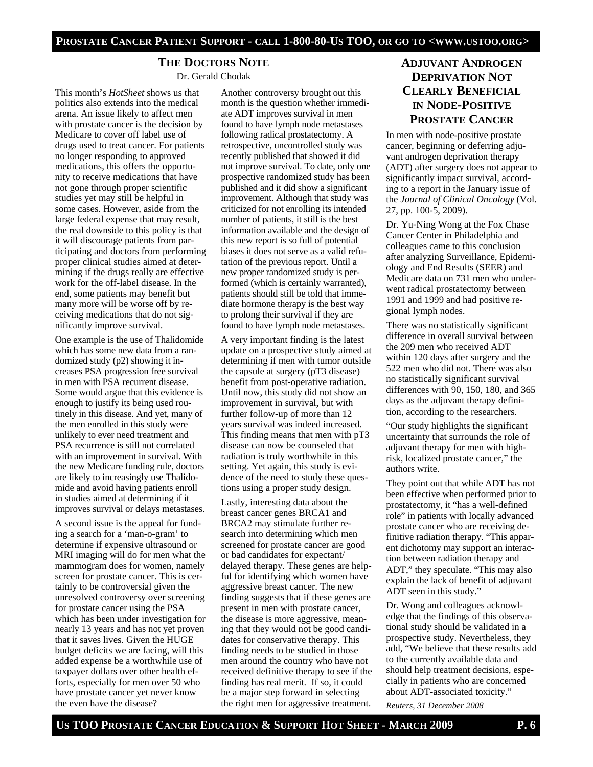# **THE DOCTORS NOTE**

Dr. Gerald Chodak

This month's *HotSheet* shows us that politics also extends into the medical arena. An issue likely to affect men with prostate cancer is the decision by Medicare to cover off label use of drugs used to treat cancer. For patients no longer responding to approved medications, this offers the opportunity to receive medications that have not gone through proper scientific studies yet may still be helpful in some cases. However, aside from the large federal expense that may result, the real downside to this policy is that it will discourage patients from participating and doctors from performing proper clinical studies aimed at determining if the drugs really are effective work for the off-label disease. In the end, some patients may benefit but many more will be worse off by receiving medications that do not significantly improve survival.

One example is the use of Thalidomide which has some new data from a randomized study (p2) showing it increases PSA progression free survival in men with PSA recurrent disease. Some would argue that this evidence is enough to justify its being used routinely in this disease. And yet, many of the men enrolled in this study were unlikely to ever need treatment and PSA recurrence is still not correlated with an improvement in survival. With the new Medicare funding rule, doctors are likely to increasingly use Thalidomide and avoid having patients enroll in studies aimed at determining if it improves survival or delays metastases.

A second issue is the appeal for funding a search for a 'man-o-gram' to determine if expensive ultrasound or MRI imaging will do for men what the mammogram does for women, namely screen for prostate cancer. This is certainly to be controversial given the unresolved controversy over screening for prostate cancer using the PSA which has been under investigation for nearly 13 years and has not yet proven that it saves lives. Given the HUGE budget deficits we are facing, will this added expense be a worthwhile use of taxpayer dollars over other health efforts, especially for men over 50 who have prostate cancer yet never know the even have the disease?

Another controversy brought out this month is the question whether immediate ADT improves survival in men found to have lymph node metastases following radical prostatectomy. A retrospective, uncontrolled study was recently published that showed it did not improve survival. To date, only one prospective randomized study has been published and it did show a significant improvement. Although that study was criticized for not enrolling its intended number of patients, it still is the best information available and the design of this new report is so full of potential biases it does not serve as a valid refutation of the previous report. Until a new proper randomized study is performed (which is certainly warranted), patients should still be told that immediate hormone therapy is the best way to prolong their survival if they are found to have lymph node metastases.

A very important finding is the latest update on a prospective study aimed at determining if men with tumor outside the capsule at surgery (pT3 disease) benefit from post-operative radiation. Until now, this study did not show an improvement in survival, but with further follow-up of more than 12 years survival was indeed increased. This finding means that men with pT3 disease can now be counseled that radiation is truly worthwhile in this setting. Yet again, this study is evidence of the need to study these questions using a proper study design.

Lastly, interesting data about the breast cancer genes BRCA1 and BRCA2 may stimulate further research into determining which men screened for prostate cancer are good or bad candidates for expectant/ delayed therapy. These genes are helpful for identifying which women have aggressive breast cancer. The new finding suggests that if these genes are present in men with prostate cancer, the disease is more aggressive, meaning that they would not be good candidates for conservative therapy. This finding needs to be studied in those men around the country who have not received definitive therapy to see if the finding has real merit. If so, it could be a major step forward in selecting the right men for aggressive treatment.

# **ADJUVANT ANDROGEN DEPRIVATION NOT CLEARLY BENEFICIAL IN NODE-POSITIVE PROSTATE CANCER**

In men with node-positive prostate cancer, beginning or deferring adjuvant androgen deprivation therapy (ADT) after surgery does not appear to significantly impact survival, according to a report in the January issue of the *Journal of Clinical Oncology* (Vol. 27, pp. 100-5, 2009).

Dr. Yu-Ning Wong at the Fox Chase Cancer Center in Philadelphia and colleagues came to this conclusion after analyzing Surveillance, Epidemiology and End Results (SEER) and Medicare data on 731 men who underwent radical prostatectomy between 1991 and 1999 and had positive regional lymph nodes.

There was no statistically significant difference in overall survival between the 209 men who received ADT within 120 days after surgery and the 522 men who did not. There was also no statistically significant survival differences with 90, 150, 180, and 365 days as the adjuvant therapy definition, according to the researchers.

"Our study highlights the significant uncertainty that surrounds the role of adjuvant therapy for men with highrisk, localized prostate cancer," the authors write.

They point out that while ADT has not been effective when performed prior to prostatectomy, it "has a well-defined role" in patients with locally advanced prostate cancer who are receiving definitive radiation therapy. "This apparent dichotomy may support an interaction between radiation therapy and ADT," they speculate. "This may also explain the lack of benefit of adjuvant ADT seen in this study."

Dr. Wong and colleagues acknowledge that the findings of this observational study should be validated in a prospective study. Nevertheless, they add, "We believe that these results add to the currently available data and should help treatment decisions, especially in patients who are concerned about ADT-associated toxicity."

*Reuters, 31 December 2008*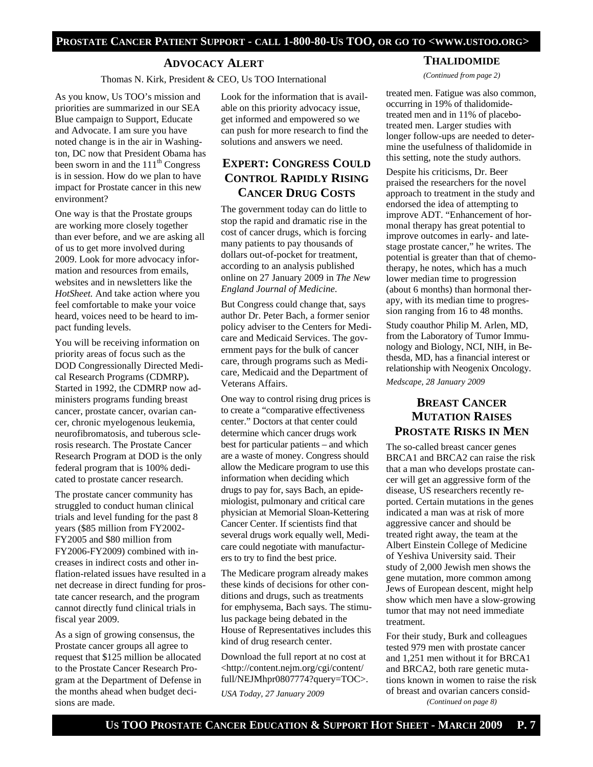#### **PROSTATE CANCER PATIENT SUPPORT - CALL 1-800-80-US TOO, OR GO TO <WWW.USTOO.ORG>**

#### **ADVOCACY ALERT**

Thomas N. Kirk, President & CEO, Us TOO International

As you know, Us TOO's mission and priorities are summarized in our SEA Blue campaign to Support, Educate and Advocate. I am sure you have noted change is in the air in Washington, DC now that President Obama has been sworn in and the  $111<sup>th</sup>$  Congress is in session. How do we plan to have impact for Prostate cancer in this new environment?

One way is that the Prostate groups are working more closely together than ever before, and we are asking all of us to get more involved during 2009. Look for more advocacy information and resources from emails, websites and in newsletters like the *HotSheet.* And take action where you feel comfortable to make your voice heard, voices need to be heard to impact funding levels.

You will be receiving information on priority areas of focus such as the DOD Congressionally Directed Medical Research Programs (CDMRP)**.**  Started in 1992, the CDMRP now administers programs funding breast cancer, prostate cancer, ovarian cancer, chronic myelogenous leukemia, neurofibromatosis, and tuberous sclerosis research. The Prostate Cancer Research Program at DOD is the only federal program that is 100% dedicated to prostate cancer research.

The prostate cancer community has struggled to conduct human clinical trials and level funding for the past 8 years (\$85 million from FY2002- FY2005 and \$80 million from FY2006-FY2009) combined with increases in indirect costs and other inflation-related issues have resulted in a net decrease in direct funding for prostate cancer research, and the program cannot directly fund clinical trials in fiscal year 2009.

As a sign of growing consensus, the Prostate cancer groups all agree to request that \$125 million be allocated to the Prostate Cancer Research Program at the Department of Defense in the months ahead when budget decisions are made.

Look for the information that is available on this priority advocacy issue, get informed and empowered so we can push for more research to find the solutions and answers we need.

# **EXPERT: CONGRESS COULD CONTROL RAPIDLY RISING CANCER DRUG COSTS**

The government today can do little to stop the rapid and dramatic rise in the cost of cancer drugs, which is forcing many patients to pay thousands of dollars out-of-pocket for treatment, according to an analysis published online on 27 January 2009 in *The New England Journal of Medicine*.

But Congress could change that, says author Dr. Peter Bach, a former senior policy adviser to the Centers for Medicare and Medicaid Services. The government pays for the bulk of cancer care, through programs such as Medicare, Medicaid and the Department of Veterans Affairs.

One way to control rising drug prices is to create a "comparative effectiveness center." Doctors at that center could determine which cancer drugs work best for particular patients – and which are a waste of money. Congress should allow the Medicare program to use this information when deciding which drugs to pay for, says Bach, an epidemiologist, pulmonary and critical care physician at Memorial Sloan-Kettering Cancer Center. If scientists find that several drugs work equally well, Medicare could negotiate with manufacturers to try to find the best price.

The Medicare program already makes these kinds of decisions for other conditions and drugs, such as treatments for emphysema, Bach says. The stimulus package being debated in the House of Representatives includes this kind of drug research center.

Download the full report at no cost at <http://content.nejm.org/cgi/content/ full/NEJMhpr0807774?query=TOC>. *USA Today, 27 January 2009* 

**THALIDOMIDE**

*(Continued from page 2)* 

treated men. Fatigue was also common, occurring in 19% of thalidomidetreated men and in 11% of placebotreated men. Larger studies with longer follow-ups are needed to determine the usefulness of thalidomide in this setting, note the study authors.

Despite his criticisms, Dr. Beer praised the researchers for the novel approach to treatment in the study and endorsed the idea of attempting to improve ADT. "Enhancement of hormonal therapy has great potential to improve outcomes in early- and latestage prostate cancer," he writes. The potential is greater than that of chemotherapy, he notes, which has a much lower median time to progression (about 6 months) than hormonal therapy, with its median time to progression ranging from 16 to 48 months.

Study coauthor Philip M. Arlen, MD, from the Laboratory of Tumor Immunology and Biology, NCI, NIH, in Bethesda, MD, has a financial interest or relationship with Neogenix Oncology. *Medscape, 28 January 2009* 

# **BREAST CANCER MUTATION RAISES PROSTATE RISKS IN MEN**

The so-called breast cancer genes BRCA1 and BRCA2 can raise the risk that a man who develops prostate cancer will get an aggressive form of the disease, US researchers recently reported. Certain mutations in the genes indicated a man was at risk of more aggressive cancer and should be treated right away, the team at the Albert Einstein College of Medicine of Yeshiva University said. Their study of 2,000 Jewish men shows the gene mutation, more common among Jews of European descent, might help show which men have a slow-growing tumor that may not need immediate treatment.

For their study, Burk and colleagues tested 979 men with prostate cancer and 1,251 men without it for BRCA1 and BRCA2, both rare genetic mutations known in women to raise the risk of breast and ovarian cancers consid- *(Continued on page 8)*